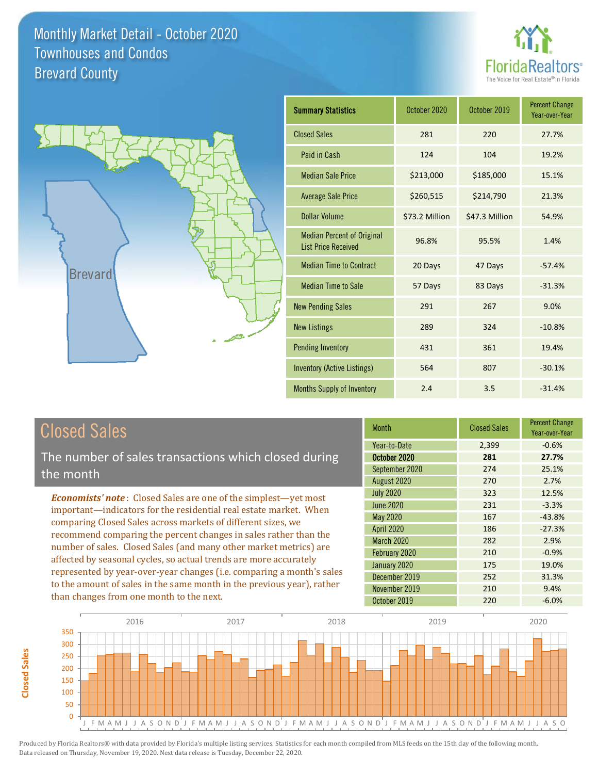



| <b>Summary Statistics</b>                                       | October 2020   | October 2019   | <b>Percent Change</b><br>Year-over-Year |
|-----------------------------------------------------------------|----------------|----------------|-----------------------------------------|
| <b>Closed Sales</b>                                             | 281            | 220            | 27.7%                                   |
| Paid in Cash                                                    | 124            | 104            | 19.2%                                   |
| <b>Median Sale Price</b>                                        | \$213,000      | \$185,000      | 15.1%                                   |
| <b>Average Sale Price</b>                                       | \$260,515      | \$214,790      | 21.3%                                   |
| Dollar Volume                                                   | \$73.2 Million | \$47.3 Million | 54.9%                                   |
| <b>Median Percent of Original</b><br><b>List Price Received</b> | 96.8%          | 95.5%          | 1.4%                                    |
| <b>Median Time to Contract</b>                                  | 20 Days        | 47 Days        | $-57.4%$                                |
| <b>Median Time to Sale</b>                                      | 57 Days        | 83 Days        | $-31.3%$                                |
| <b>New Pending Sales</b>                                        | 291            | 267            | 9.0%                                    |
| <b>New Listings</b>                                             | 289            | 324            | $-10.8%$                                |
| <b>Pending Inventory</b>                                        | 431            | 361            | 19.4%                                   |
| Inventory (Active Listings)                                     | 564            | 807            | $-30.1%$                                |
| <b>Months Supply of Inventory</b>                               | 2.4            | 3.5            | $-31.4%$                                |

# Closed Sales

The number of sales transactions which closed during the month

*Economists' note* : Closed Sales are one of the simplest—yet most important—indicators for the residential real estate market. When comparing Closed Sales across markets of different sizes, we recommend comparing the percent changes in sales rather than the number of sales. Closed Sales (and many other market metrics) are affected by seasonal cycles, so actual trends are more accurately represented by year-over-year changes (i.e. comparing a month's sales to the amount of sales in the same month in the previous year), rather than changes from one month to the next.

| <b>Month</b>      | <b>Closed Sales</b> | <b>Percent Change</b><br>Year-over-Year |
|-------------------|---------------------|-----------------------------------------|
| Year-to-Date      | 2,399               | $-0.6%$                                 |
| October 2020      | 281                 | 27.7%                                   |
| September 2020    | 274                 | 25.1%                                   |
| August 2020       | 270                 | 2.7%                                    |
| <b>July 2020</b>  | 323                 | 12.5%                                   |
| <b>June 2020</b>  | 231                 | $-3.3%$                                 |
| May 2020          | 167                 | $-43.8%$                                |
| <b>April 2020</b> | 186                 | $-27.3%$                                |
| March 2020        | 282                 | 2.9%                                    |
| February 2020     | 210                 | $-0.9%$                                 |
| January 2020      | 175                 | 19.0%                                   |
| December 2019     | 252                 | 31.3%                                   |
| November 2019     | 210                 | 9.4%                                    |
| October 2019      | 220                 | $-6.0%$                                 |

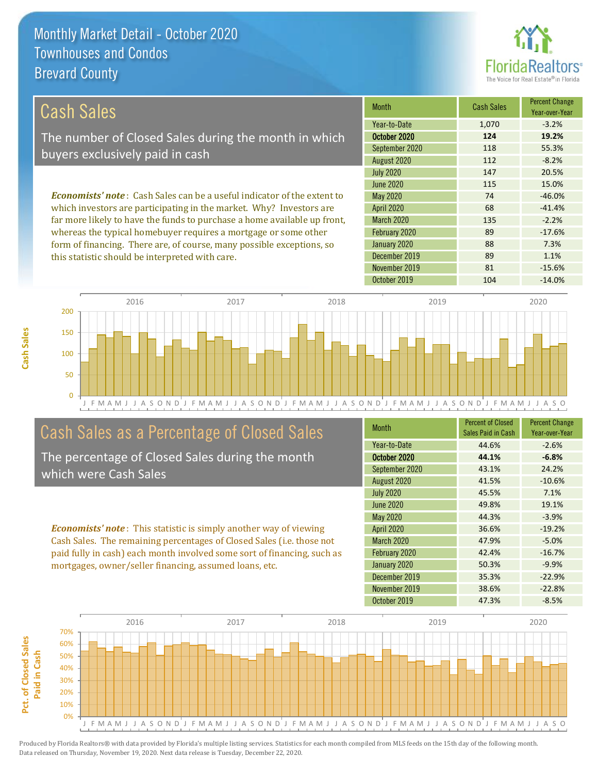this statistic should be interpreted with care.

**Cash Sales**



89 1.1%

| Cash Sales                                                                     | <b>Month</b>      | <b>Cash Sales</b> | <b>Percent Change</b><br>Year-over-Year |
|--------------------------------------------------------------------------------|-------------------|-------------------|-----------------------------------------|
|                                                                                | Year-to-Date      | 1,070             | $-3.2%$                                 |
| The number of Closed Sales during the month in which                           | October 2020      | 124               | 19.2%                                   |
| buyers exclusively paid in cash                                                | September 2020    | 118               | 55.3%                                   |
|                                                                                | August 2020       | 112               | $-8.2%$                                 |
|                                                                                | <b>July 2020</b>  | 147               | 20.5%                                   |
|                                                                                | June 2020         | 115               | 15.0%                                   |
| <b>Economists' note:</b> Cash Sales can be a useful indicator of the extent to | May 2020          | 74                | $-46.0%$                                |
| which investors are participating in the market. Why? Investors are            | <b>April 2020</b> | 68                | $-41.4%$                                |
| far more likely to have the funds to purchase a home available up front,       | March 2020        | 135               | $-2.2%$                                 |
| whereas the typical homebuyer requires a mortgage or some other                | February 2020     | 89                | $-17.6%$                                |
| form of financing. There are, of course, many possible exceptions, so          | January 2020      | 88                | 7.3%                                    |

J F M A M J J A S O N D J F M A M J J A S O N D J F M A M J J A S O N D J F M A M J J A S O N D J F M A M J J A S O 0 50 100 150 200 2016 2017 2018 2019 2020

### Cash Sales as a Percentage of Closed Sales

The percentage of Closed Sales during the month which were Cash Sales

*Economists' note* : This statistic is simply another way of viewing Cash Sales. The remaining percentages of Closed Sales (i.e. those not paid fully in cash) each month involved some sort of financing, such as mortgages, owner/seller financing, assumed loans, etc.

| <b>Month</b>      | <b>Percent of Closed</b><br>Sales Paid in Cash | <b>Percent Change</b><br>Year-over-Year |
|-------------------|------------------------------------------------|-----------------------------------------|
| Year-to-Date      | 44.6%                                          | $-2.6%$                                 |
| October 2020      | 44.1%                                          | $-6.8%$                                 |
| September 2020    | 43.1%                                          | 24.2%                                   |
| August 2020       | 41.5%                                          | $-10.6%$                                |
| <b>July 2020</b>  | 45.5%                                          | 7.1%                                    |
| <b>June 2020</b>  | 49.8%                                          | 19.1%                                   |
| <b>May 2020</b>   | 44.3%                                          | $-3.9%$                                 |
| <b>April 2020</b> | 36.6%                                          | $-19.2%$                                |
| <b>March 2020</b> | 47.9%                                          | $-5.0%$                                 |
| February 2020     | 42.4%                                          | $-16.7%$                                |
| January 2020      | 50.3%                                          | $-9.9%$                                 |
| December 2019     | 35.3%                                          | $-22.9%$                                |
| November 2019     | 38.6%                                          | $-22.8%$                                |
| October 2019      | 47.3%                                          | $-8.5%$                                 |

November 2019 81 -15.6%

December 2019

October 2019 104 104 -14.0%

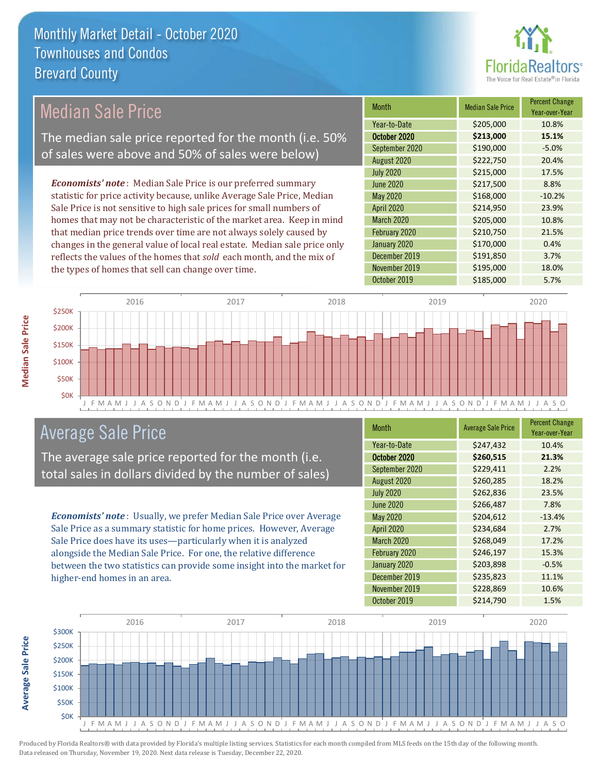

### Median Sale Price

The median sale price reported for the month (i.e. 50% of sales were above and 50% of sales were below)

*Economists' note* : Median Sale Price is our preferred summary statistic for price activity because, unlike Average Sale Price, Median Sale Price is not sensitive to high sale prices for small numbers of homes that may not be characteristic of the market area. Keep in mind that median price trends over time are not always solely caused by changes in the general value of local real estate. Median sale price only reflects the values of the homes that *sold* each month, and the mix of the types of homes that sell can change over time.

| <b>Month</b>     | <b>Median Sale Price</b> | <b>Percent Change</b><br>Year-over-Year |
|------------------|--------------------------|-----------------------------------------|
| Year-to-Date     | \$205,000                | 10.8%                                   |
| October 2020     | \$213,000                | 15.1%                                   |
| September 2020   | \$190,000                | $-5.0%$                                 |
| August 2020      | \$222,750                | 20.4%                                   |
| <b>July 2020</b> | \$215,000                | 17.5%                                   |
| <b>June 2020</b> | \$217,500                | 8.8%                                    |
| May 2020         | \$168,000                | $-10.2%$                                |
| April 2020       | \$214,950                | 23.9%                                   |
| March 2020       | \$205,000                | 10.8%                                   |
| February 2020    | \$210,750                | 21.5%                                   |
| January 2020     | \$170,000                | 0.4%                                    |
| December 2019    | \$191,850                | 3.7%                                    |
| November 2019    | \$195,000                | 18.0%                                   |
| October 2019     | \$185,000                | 5.7%                                    |



### Average Sale Price

The average sale price reported for the month (i.e. total sales in dollars divided by the number of sales)

*Economists' note* : Usually, we prefer Median Sale Price over Average Sale Price as a summary statistic for home prices. However, Average Sale Price does have its uses—particularly when it is analyzed alongside the Median Sale Price. For one, the relative difference between the two statistics can provide some insight into the market for higher-end homes in an area.

| Month             | <b>Average Sale Price</b> | <b>Percent Change</b><br>Year-over-Year |
|-------------------|---------------------------|-----------------------------------------|
| Year-to-Date      | \$247,432                 | 10.4%                                   |
| October 2020      | \$260,515                 | 21.3%                                   |
| September 2020    | \$229,411                 | 2.2%                                    |
| August 2020       | \$260,285                 | 18.2%                                   |
| <b>July 2020</b>  | \$262,836                 | 23.5%                                   |
| <b>June 2020</b>  | \$266,487                 | 7.8%                                    |
| <b>May 2020</b>   | \$204,612                 | $-13.4%$                                |
| April 2020        | \$234,684                 | 2.7%                                    |
| <b>March 2020</b> | \$268,049                 | 17.2%                                   |
| February 2020     | \$246,197                 | 15.3%                                   |
| January 2020      | \$203,898                 | $-0.5%$                                 |
| December 2019     | \$235,823                 | 11.1%                                   |
| November 2019     | \$228,869                 | 10.6%                                   |
| October 2019      | \$214,790                 | 1.5%                                    |



**Average Sale Price**

**Average Sale Price**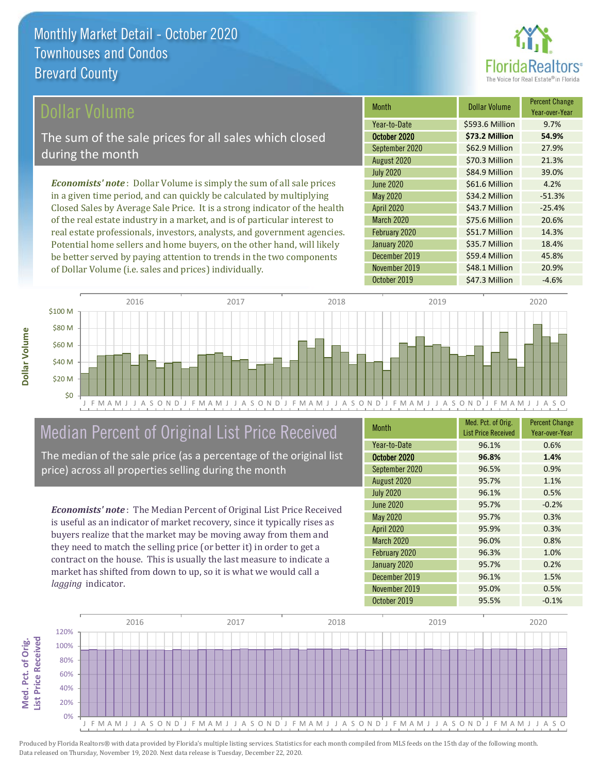

### ollar Volume

The sum of the sale prices for all sales which closed during the month

*Economists' note* : Dollar Volume is simply the sum of all sale prices in a given time period, and can quickly be calculated by multiplying Closed Sales by Average Sale Price. It is a strong indicator of the health of the real estate industry in a market, and is of particular interest to real estate professionals, investors, analysts, and government agencies. Potential home sellers and home buyers, on the other hand, will likely be better served by paying attention to trends in the two components of Dollar Volume (i.e. sales and prices) individually.

| <b>Month</b>      | <b>Dollar Volume</b> | <b>Percent Change</b><br>Year-over-Year |
|-------------------|----------------------|-----------------------------------------|
| Year-to-Date      | \$593.6 Million      | 9.7%                                    |
| October 2020      | \$73.2 Million       | 54.9%                                   |
| September 2020    | \$62.9 Million       | 27.9%                                   |
| August 2020       | \$70.3 Million       | 21.3%                                   |
| <b>July 2020</b>  | \$84.9 Million       | 39.0%                                   |
| <b>June 2020</b>  | \$61.6 Million       | 4.2%                                    |
| <b>May 2020</b>   | \$34.2 Million       | $-51.3%$                                |
| April 2020        | \$43.7 Million       | $-25.4%$                                |
| <b>March 2020</b> | \$75.6 Million       | 20.6%                                   |
| February 2020     | \$51.7 Million       | 14.3%                                   |
| January 2020      | \$35.7 Million       | 18.4%                                   |
| December 2019     | \$59.4 Million       | 45.8%                                   |
| November 2019     | \$48.1 Million       | 20.9%                                   |
| October 2019      | \$47.3 Million       | $-4.6%$                                 |



# Median Percent of Original List Price Received

The median of the sale price (as a percentage of the original list price) across all properties selling during the month

*Economists' note* : The Median Percent of Original List Price Received is useful as an indicator of market recovery, since it typically rises as buyers realize that the market may be moving away from them and they need to match the selling price (or better it) in order to get a contract on the house. This is usually the last measure to indicate a market has shifted from down to up, so it is what we would call a *lagging* indicator.

| <b>Month</b>      | Med. Pct. of Orig.<br><b>List Price Received</b> | <b>Percent Change</b><br>Year-over-Year |
|-------------------|--------------------------------------------------|-----------------------------------------|
| Year-to-Date      | 96.1%                                            | 0.6%                                    |
| October 2020      | 96.8%                                            | 1.4%                                    |
| September 2020    | 96.5%                                            | 0.9%                                    |
| August 2020       | 95.7%                                            | 1.1%                                    |
| <b>July 2020</b>  | 96.1%                                            | 0.5%                                    |
| <b>June 2020</b>  | 95.7%                                            | $-0.2%$                                 |
| <b>May 2020</b>   | 95.7%                                            | 0.3%                                    |
| <b>April 2020</b> | 95.9%                                            | 0.3%                                    |
| March 2020        | 96.0%                                            | 0.8%                                    |
| February 2020     | 96.3%                                            | 1.0%                                    |
| January 2020      | 95.7%                                            | 0.2%                                    |
| December 2019     | 96.1%                                            | 1.5%                                    |
| November 2019     | 95.0%                                            | 0.5%                                    |
| October 2019      | 95.5%                                            | $-0.1%$                                 |

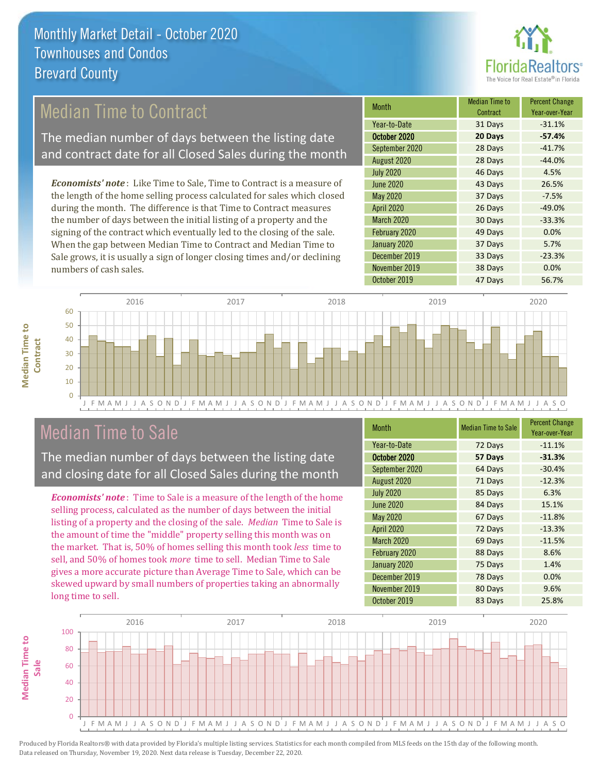

### Median Time to Contract

The median number of days between the listing date and contract date for all Closed Sales during the month

*Economists' note* : Like Time to Sale, Time to Contract is a measure of the length of the home selling process calculated for sales which closed during the month. The difference is that Time to Contract measures the number of days between the initial listing of a property and the signing of the contract which eventually led to the closing of the sale. When the gap between Median Time to Contract and Median Time to Sale grows, it is usually a sign of longer closing times and/or declining numbers of cash sales.

| <b>Month</b>     | <b>Median Time to</b><br>Contract | <b>Percent Change</b><br>Year-over-Year |
|------------------|-----------------------------------|-----------------------------------------|
| Year-to-Date     | 31 Days                           | $-31.1%$                                |
| October 2020     | 20 Days                           | $-57.4%$                                |
| September 2020   | 28 Days                           | $-41.7%$                                |
| August 2020      | 28 Days                           | $-44.0%$                                |
| <b>July 2020</b> | 46 Days                           | 4.5%                                    |
| <b>June 2020</b> | 43 Days                           | 26.5%                                   |
| May 2020         | 37 Days                           | $-7.5%$                                 |
| April 2020       | 26 Days                           | $-49.0%$                                |
| March 2020       | 30 Days                           | $-33.3%$                                |
| February 2020    | 49 Days                           | 0.0%                                    |
| January 2020     | 37 Days                           | 5.7%                                    |
| December 2019    | 33 Days                           | $-23.3%$                                |
| November 2019    | 38 Days                           | 0.0%                                    |
| October 2019     | 47 Days                           | 56.7%                                   |



### Median Time to Sale

**Median Time to** 

**Median Time to** 

The median number of days between the listing date and closing date for all Closed Sales during the month

*Economists' note* : Time to Sale is a measure of the length of the home selling process, calculated as the number of days between the initial listing of a property and the closing of the sale. *Median* Time to Sale is the amount of time the "middle" property selling this month was on the market. That is, 50% of homes selling this month took *less* time to sell, and 50% of homes took *more* time to sell. Median Time to Sale gives a more accurate picture than Average Time to Sale, which can be skewed upward by small numbers of properties taking an abnormally long time to sell.

| <b>Month</b>      | <b>Median Time to Sale</b> | <b>Percent Change</b><br>Year-over-Year |
|-------------------|----------------------------|-----------------------------------------|
| Year-to-Date      | 72 Days                    | $-11.1%$                                |
| October 2020      | 57 Days                    | $-31.3%$                                |
| September 2020    | 64 Days                    | $-30.4%$                                |
| August 2020       | 71 Days                    | $-12.3%$                                |
| <b>July 2020</b>  | 85 Days                    | 6.3%                                    |
| <b>June 2020</b>  | 84 Days                    | 15.1%                                   |
| <b>May 2020</b>   | 67 Days                    | $-11.8%$                                |
| <b>April 2020</b> | 72 Days                    | $-13.3%$                                |
| March 2020        | 69 Days                    | $-11.5%$                                |
| February 2020     | 88 Days                    | 8.6%                                    |
| January 2020      | 75 Days                    | 1.4%                                    |
| December 2019     | 78 Days                    | 0.0%                                    |
| November 2019     | 80 Days                    | 9.6%                                    |
| October 2019      | 83 Days                    | 25.8%                                   |

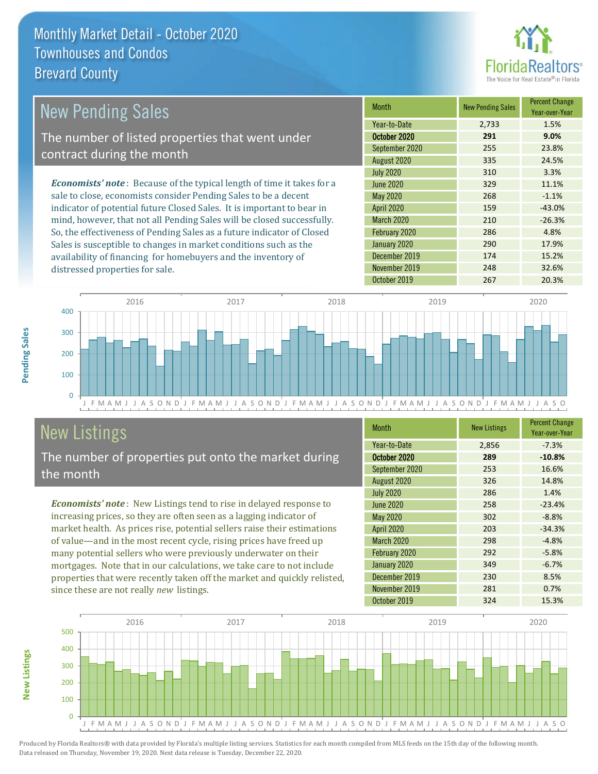

| New Pending Sales                                                              | <b>Month</b>      | <b>New Pending Sales</b> | <b>Percent Change</b><br>Year-over-Year |
|--------------------------------------------------------------------------------|-------------------|--------------------------|-----------------------------------------|
|                                                                                | Year-to-Date      | 2,733                    | 1.5%                                    |
| The number of listed properties that went under                                | October 2020      | 291                      | 9.0%                                    |
| contract during the month                                                      | September 2020    | 255                      | 23.8%                                   |
|                                                                                | August 2020       | 335                      | 24.5%                                   |
|                                                                                | <b>July 2020</b>  | 310                      | 3.3%                                    |
| <b>Economists' note</b> : Because of the typical length of time it takes for a | June 2020         | 329                      | 11.1%                                   |
| sale to close, economists consider Pending Sales to be a decent                | May 2020          | 268                      | $-1.1%$                                 |
| indicator of potential future Closed Sales. It is important to bear in         | <b>April 2020</b> | 159                      | $-43.0%$                                |
| mind, however, that not all Pending Sales will be closed successfully.         | <b>March 2020</b> | 210                      | $-26.3%$                                |
| So, the effectiveness of Pending Sales as a future indicator of Closed         | February 2020     | 286                      | 4.8%                                    |
| Sales is susceptible to changes in market conditions such as the               | January 2020      | 290                      | 17.9%                                   |
| availability of financing for homebuyers and the inventory of                  | December 2019     | 174                      | 15.2%                                   |



# New Listings

distressed properties for sale.

The number of properties put onto the market during the month

*Economists' note* : New Listings tend to rise in delayed response to increasing prices, so they are often seen as a lagging indicator of market health. As prices rise, potential sellers raise their estimations of value—and in the most recent cycle, rising prices have freed up many potential sellers who were previously underwater on their mortgages. Note that in our calculations, we take care to not include properties that were recently taken off the market and quickly relisted, since these are not really *new* listings.

| <b>Month</b>      | <b>New Listings</b> | <b>Percent Change</b><br>Year-over-Year |
|-------------------|---------------------|-----------------------------------------|
| Year-to-Date      | 2,856               | $-7.3%$                                 |
| October 2020      | 289                 | $-10.8%$                                |
| September 2020    | 253                 | 16.6%                                   |
| August 2020       | 326                 | 14.8%                                   |
| <b>July 2020</b>  | 286                 | 1.4%                                    |
| <b>June 2020</b>  | 258                 | $-23.4%$                                |
| May 2020          | 302                 | $-8.8%$                                 |
| April 2020        | 203                 | $-34.3%$                                |
| <b>March 2020</b> | 298                 | $-4.8%$                                 |
| February 2020     | 292                 | $-5.8%$                                 |
| January 2020      | 349                 | $-6.7%$                                 |
| December 2019     | 230                 | 8.5%                                    |
| November 2019     | 281                 | 0.7%                                    |
| October 2019      | 324                 | 15.3%                                   |

November 2019 248 32.6%



Produced by Florida Realtors® with data provided by Florida's multiple listing services. Statistics for each month compiled from MLS feeds on the 15th day of the following month. Data released on Thursday, November 19, 2020. Next data release is Tuesday, December 22, 2020.

**New Listings**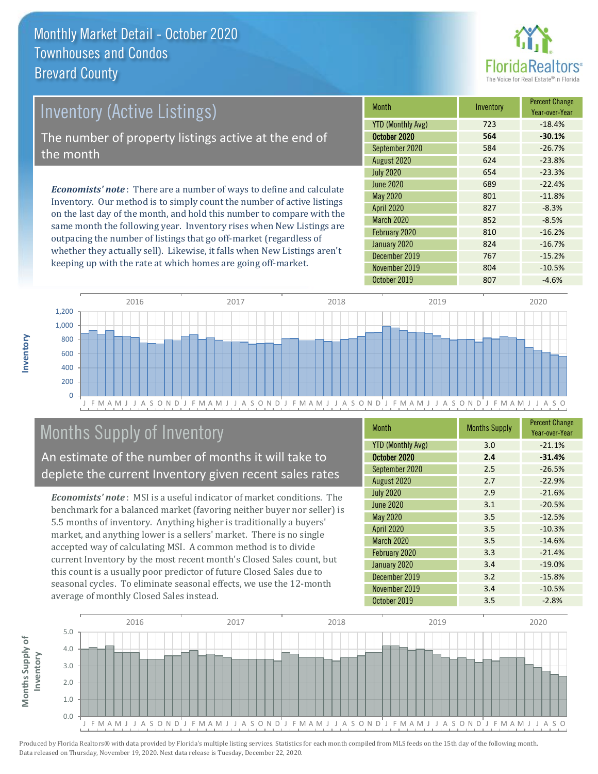

# *Economists' note* : There are a number of ways to define and calculate Inventory. Our method is to simply count the number of active listings Inventory (Active Listings) The number of property listings active at the end of the month

on the last day of the month, and hold this number to compare with the same month the following year. Inventory rises when New Listings are outpacing the number of listings that go off-market (regardless of whether they actually sell). Likewise, it falls when New Listings aren't keeping up with the rate at which homes are going off-market.

| <b>Month</b>             | Inventory | <b>Percent Change</b><br>Year-over-Year |
|--------------------------|-----------|-----------------------------------------|
| <b>YTD (Monthly Avg)</b> | 723       | $-18.4%$                                |
| October 2020             | 564       | $-30.1%$                                |
| September 2020           | 584       | $-26.7%$                                |
| August 2020              | 624       | $-23.8%$                                |
| <b>July 2020</b>         | 654       | $-23.3%$                                |
| <b>June 2020</b>         | 689       | $-22.4%$                                |
| <b>May 2020</b>          | 801       | $-11.8%$                                |
| <b>April 2020</b>        | 827       | $-8.3%$                                 |
| March 2020               | 852       | $-8.5%$                                 |
| February 2020            | 810       | $-16.2%$                                |
| January 2020             | 824       | $-16.7%$                                |
| December 2019            | 767       | $-15.2%$                                |
| November 2019            | 804       | $-10.5%$                                |
| October 2019             | 807       | $-4.6%$                                 |



# Months Supply of Inventory

An estimate of the number of months it will take to deplete the current Inventory given recent sales rates

*Economists' note* : MSI is a useful indicator of market conditions. The benchmark for a balanced market (favoring neither buyer nor seller) is 5.5 months of inventory. Anything higher is traditionally a buyers' market, and anything lower is a sellers' market. There is no single accepted way of calculating MSI. A common method is to divide current Inventory by the most recent month's Closed Sales count, but this count is a usually poor predictor of future Closed Sales due to seasonal cycles. To eliminate seasonal effects, we use the 12-month average of monthly Closed Sales instead.

| <b>Month</b>             | <b>Months Supply</b> | <b>Percent Change</b><br>Year-over-Year |
|--------------------------|----------------------|-----------------------------------------|
| <b>YTD (Monthly Avg)</b> | 3.0                  | $-21.1%$                                |
| October 2020             | 2.4                  | $-31.4%$                                |
| September 2020           | 2.5                  | $-26.5%$                                |
| August 2020              | 2.7                  | $-22.9%$                                |
| <b>July 2020</b>         | 2.9                  | $-21.6%$                                |
| <b>June 2020</b>         | 3.1                  | $-20.5%$                                |
| <b>May 2020</b>          | 3.5                  | $-12.5%$                                |
| <b>April 2020</b>        | 3.5                  | $-10.3%$                                |
| <b>March 2020</b>        | 3.5                  | $-14.6%$                                |
| February 2020            | 3.3                  | $-21.4%$                                |
| January 2020             | 3.4                  | $-19.0%$                                |
| December 2019            | 3.2                  | $-15.8%$                                |
| November 2019            | 3.4                  | $-10.5%$                                |
| October 2019             | 3.5                  | $-2.8%$                                 |

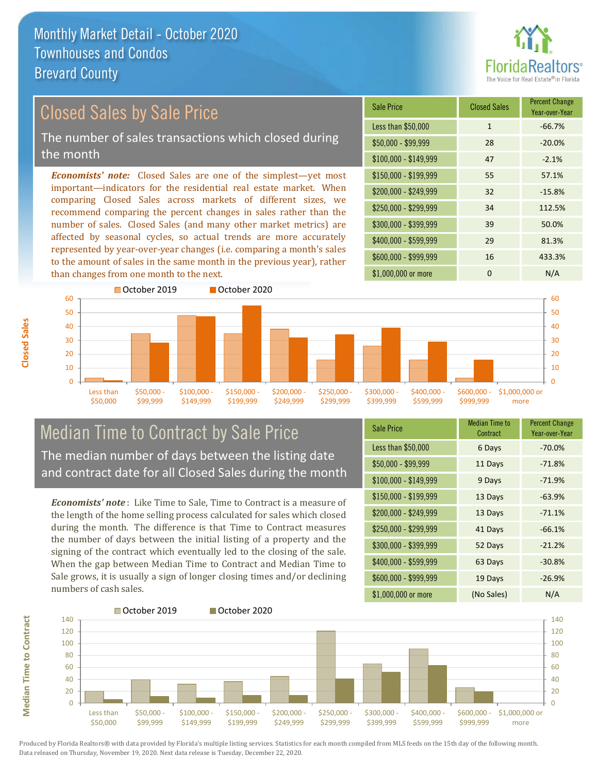

#### *Economists' note:* Closed Sales are one of the simplest—yet most important—indicators for the residential real estate market. When comparing Closed Sales across markets of different sizes, we recommend comparing the percent changes in sales rather than the number of sales. Closed Sales (and many other market metrics) are Closed Sales by Sale Price The number of sales transactions which closed during the month

affected by seasonal cycles, so actual trends are more accurately represented by year-over-year changes (i.e. comparing a month's sales to the amount of sales in the same month in the previous year), rather than changes from one month to the next.





### Median Time to Contract by Sale Price The median number of days between the listing date and contract date for all Closed Sales during the month

*Economists' note* : Like Time to Sale, Time to Contract is a measure of the length of the home selling process calculated for sales which closed during the month. The difference is that Time to Contract measures the number of days between the initial listing of a property and the signing of the contract which eventually led to the closing of the sale. When the gap between Median Time to Contract and Median Time to Sale grows, it is usually a sign of longer closing times and/or declining numbers of cash sales.

| <b>Sale Price</b>     | Median Time to<br>Contract | <b>Percent Change</b><br>Year-over-Year |
|-----------------------|----------------------------|-----------------------------------------|
| Less than \$50,000    | 6 Days                     | $-70.0%$                                |
| \$50,000 - \$99,999   | 11 Days                    | $-71.8%$                                |
| $$100,000 - $149,999$ | 9 Days                     | $-71.9%$                                |
| $$150,000 - $199,999$ | 13 Days                    | $-63.9%$                                |
| \$200,000 - \$249,999 | 13 Days                    | $-71.1%$                                |
| \$250,000 - \$299,999 | 41 Days                    | $-66.1%$                                |
| $$300,000 - $399,999$ | 52 Days                    | $-21.2%$                                |
| \$400,000 - \$599,999 | 63 Days                    | $-30.8%$                                |
| \$600,000 - \$999,999 | 19 Days                    | $-26.9%$                                |
| \$1,000,000 or more   | (No Sales)                 | N/A                                     |

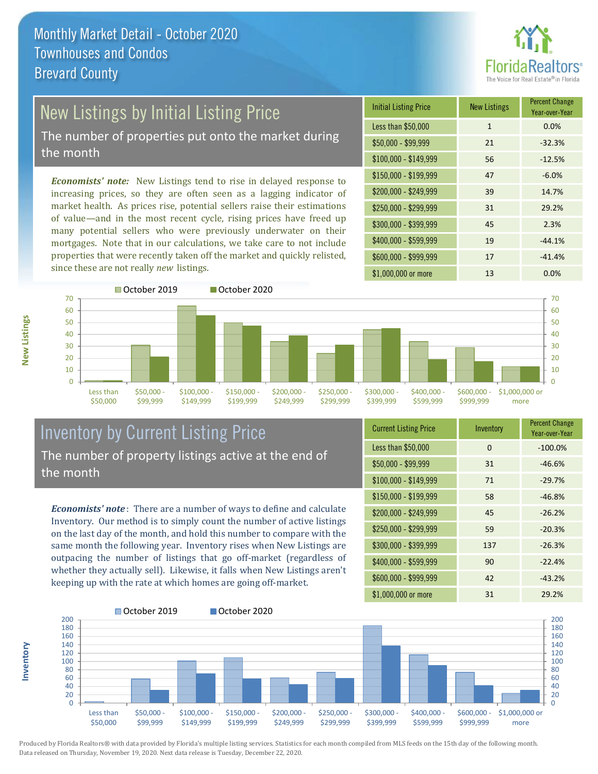

# New Listings by Initial Listing Price

The number of properties put onto the market during the month

*Economists' note:* New Listings tend to rise in delayed response to increasing prices, so they are often seen as a lagging indicator of market health. As prices rise, potential sellers raise their estimations of value—and in the most recent cycle, rising prices have freed up many potential sellers who were previously underwater on their mortgages. Note that in our calculations, we take care to not include properties that were recently taken off the market and quickly relisted, since these are not really *new* listings.





### Inventory by Current Listing Price The number of property listings active at the end of the month

*Economists' note* : There are a number of ways to define and calculate Inventory. Our method is to simply count the number of active listings on the last day of the month, and hold this number to compare with the same month the following year. Inventory rises when New Listings are outpacing the number of listings that go off-market (regardless of whether they actually sell). Likewise, it falls when New Listings aren't keeping up with the rate at which homes are going off-market.

| <b>Current Listing Price</b> | Inventory | <b>Percent Change</b><br>Year-over-Year |
|------------------------------|-----------|-----------------------------------------|
| Less than \$50,000           | $\Omega$  | $-100.0%$                               |
| $$50,000 - $99,999$          | 31        | $-46.6%$                                |
| $$100,000 - $149,999$        | 71        | $-29.7%$                                |
| $$150,000 - $199,999$        | 58        | $-46.8%$                                |
| \$200,000 - \$249,999        | 45        | $-26.2%$                                |
| \$250,000 - \$299,999        | 59        | $-20.3%$                                |
| \$300,000 - \$399,999        | 137       | $-26.3%$                                |
| \$400,000 - \$599,999        | 90        | $-22.4%$                                |
| \$600,000 - \$999,999        | 42        | $-43.2%$                                |
| \$1,000,000 or more          | 31        | 29.2%                                   |



Produced by Florida Realtors® with data provided by Florida's multiple listing services. Statistics for each month compiled from MLS feeds on the 15th day of the following month. Data released on Thursday, November 19, 2020. Next data release is Tuesday, December 22, 2020.

**Inventory**